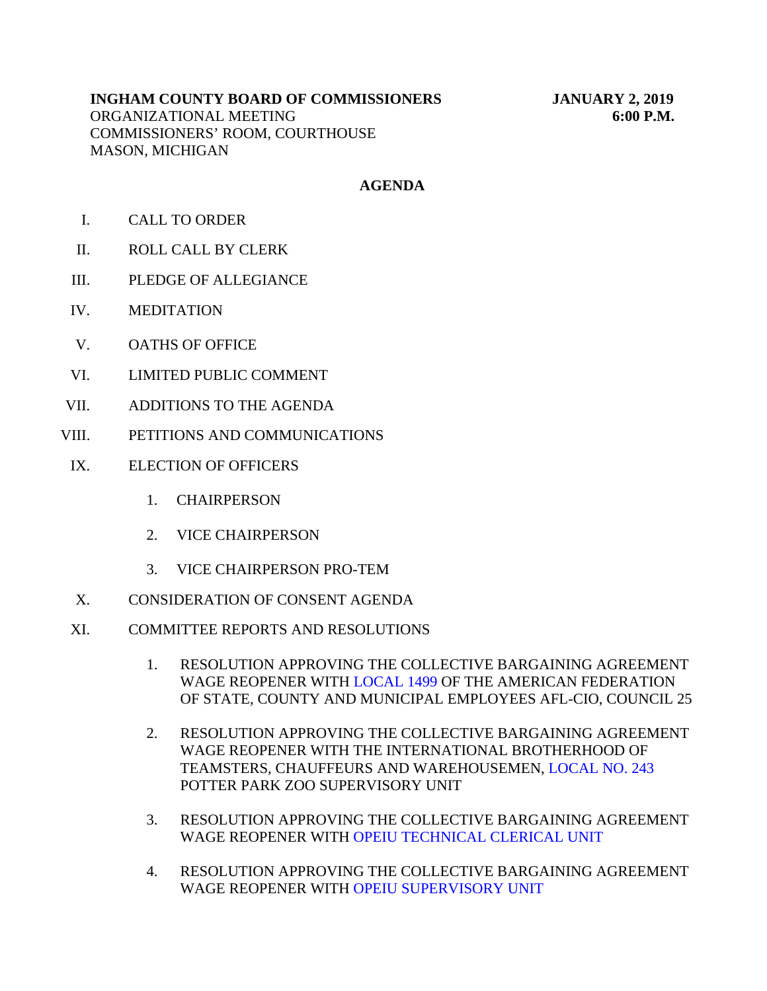# **INGHAM COUNTY BOARD OF COMMISSIONERS JANUARY 2, 2019** ORGANIZATIONAL MEETING **6:00 P.M.** COMMISSIONERS' ROOM, COURTHOUSE MASON, MICHIGAN

# **AGENDA**

- I. CALL TO ORDER
- II. ROLL CALL BY CLERK
- III. PLEDGE OF ALLEGIANCE
- IV. MEDITATION
- V. OATHS OF OFFICE
- VI. LIMITED PUBLIC COMMENT
- VII. ADDITIONS TO THE AGENDA
- VIII. PETITIONS AND COMMUNICATIONS
- IX. ELECTION OF OFFICERS
	- 1. CHAIRPERSON
	- 2. VICE CHAIRPERSON
	- 3. VICE CHAIRPERSON PRO-TEM
- X. CONSIDERATION OF CONSENT AGENDA
- XI. COMMITTEE REPORTS AND RESOLUTIONS
	- 1. RESOLUTION APPROVING THE COLLECTIVE BARGAINING AGREEMENT WAGE REOPENER WITH LOCAL 1499 OF THE AMERICAN FEDERATION OF STATE, COUNTY [AND MUNICIPAL EMPLOYEES AFL](#page-3-0)-CIO, COUNCIL 25
	- 2. RESOLUTION APPROVING THE COLLECTIVE BARGAINING AGREEMENT WAGE REOPENER WITH THE INTERNATIONAL [BROTHERHOOD OF](#page-4-0) TEAMSTERS, CHAUFFEURS AND WAREHOUSEMEN, LOCAL NO. 243 POTTER PARK ZOO SUPERVISORY UNIT
	- 3. RESOLUTION APPRO[VING THE COLLECTIVE BARGAINING AGR](#page-5-0)EEMENT WAGE REOPENER WITH OPEIU TECHNICAL CLERICAL UNIT
	- 4. RESOLUTION APPROVING THE COLLECTIVE BARGAINING AGREEMENT WAGE REOPENER WI[TH OPEIU SUPERVISORY UNIT](#page-6-0)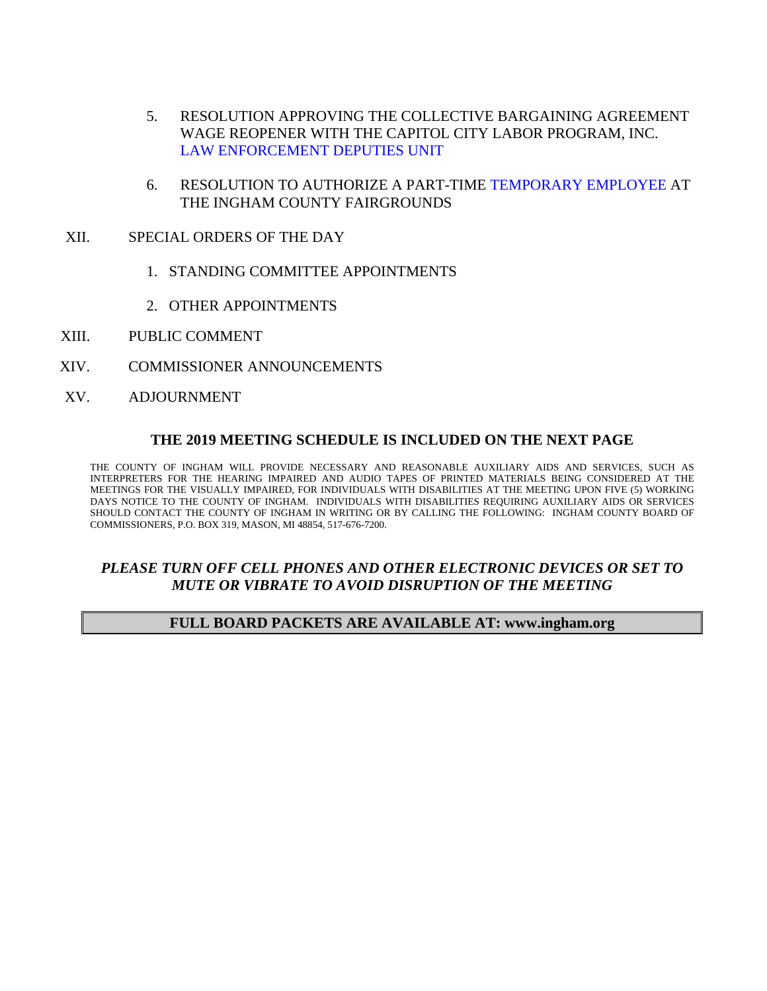- 5. RESOLUTION APPROVING THE COLLECTIVE BARGAINING AGREEMENT [WAGE REOPENER WITH THE CAPITOL CITY LABO](#page-7-0)R PROGRAM, INC. LAW ENFORCEMENT DEPUTIES UNIT
- 6. RESOLUTION TO AUTHORIZE A PART-TI[ME TEMPORARY EMPLOYEE AT](#page-8-0) THE INGHAM COUNTY FAIRGROUNDS
- XII. SPECIAL ORDERS OF THE DAY
	- 1. STANDING COMMITTEE APPOINTMENTS
	- 2. OTHER APPOINTMENTS
- XIII. PUBLIC COMMENT
- XIV. COMMISSIONER ANNOUNCEMENTS
- XV. ADJOURNMENT

#### **THE 2019 MEETING SCHEDULE IS INCLUDED ON THE NEXT PAGE**

THE COUNTY OF INGHAM WILL PROVIDE NECESSARY AND REASONABLE AUXILIARY AIDS AND SERVICES, SUCH AS INTERPRETERS FOR THE HEARING IMPAIRED AND AUDIO TAPES OF PRINTED MATERIALS BEING CONSIDERED AT THE MEETINGS FOR THE VISUALLY IMPAIRED, FOR INDIVIDUALS WITH DISABILITIES AT THE MEETING UPON FIVE (5) WORKING DAYS NOTICE TO THE COUNTY OF INGHAM. INDIVIDUALS WITH DISABILITIES REQUIRING AUXILIARY AIDS OR SERVICES SHOULD CONTACT THE COUNTY OF INGHAM IN WRITING OR BY CALLING THE FOLLOWING: INGHAM COUNTY BOARD OF COMMISSIONERS, P.O. BOX 319, MASON, MI 48854, 517-676-7200.

# *PLEASE TURN OFF CELL PHONES AND OTHER ELECTRONIC DEVICES OR SET TO MUTE OR VIBRATE TO AVOID DISRUPTION OF THE MEETING*

#### **FULL BOARD PACKETS ARE AVAILABLE AT: www.ingham.org**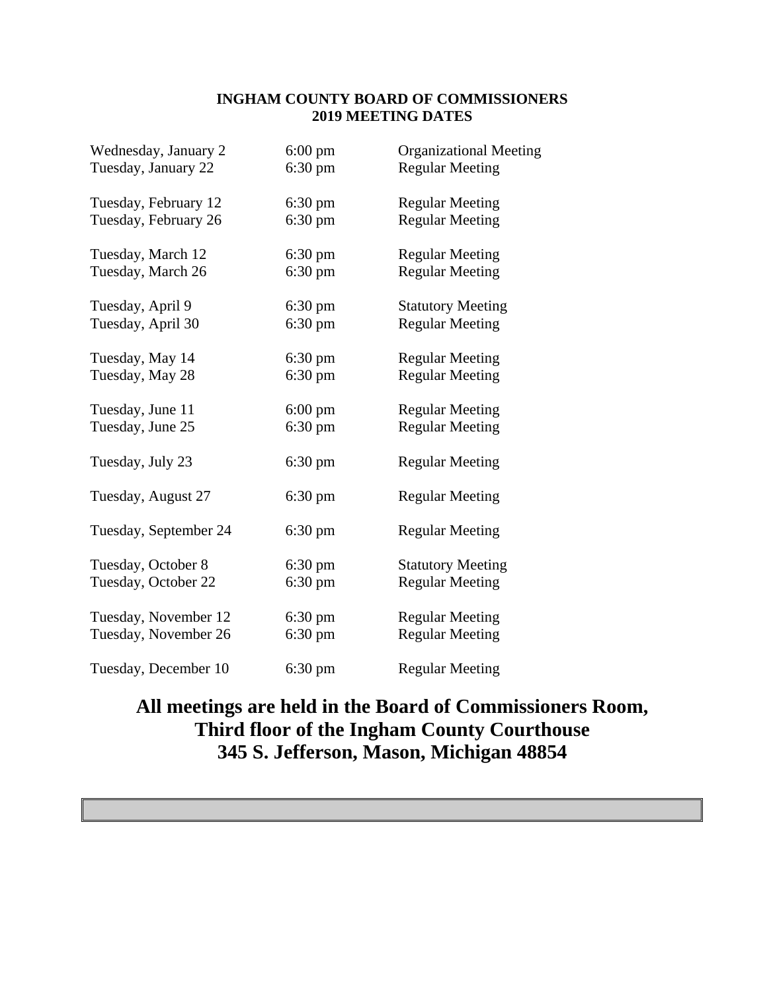## **INGHAM COUNTY BOARD OF COMMISSIONERS 2019 MEETING DATES**

| Wednesday, January 2  | $6:00 \text{ pm}$ | <b>Organizational Meeting</b> |
|-----------------------|-------------------|-------------------------------|
| Tuesday, January 22   | $6:30 \text{ pm}$ | <b>Regular Meeting</b>        |
| Tuesday, February 12  | $6:30 \text{ pm}$ | <b>Regular Meeting</b>        |
| Tuesday, February 26  | $6:30 \text{ pm}$ | <b>Regular Meeting</b>        |
| Tuesday, March 12     | $6:30 \text{ pm}$ | <b>Regular Meeting</b>        |
| Tuesday, March 26     | $6:30 \text{ pm}$ | <b>Regular Meeting</b>        |
| Tuesday, April 9      | $6:30 \text{ pm}$ | <b>Statutory Meeting</b>      |
| Tuesday, April 30     | $6:30 \text{ pm}$ | <b>Regular Meeting</b>        |
| Tuesday, May 14       | $6:30 \text{ pm}$ | <b>Regular Meeting</b>        |
| Tuesday, May 28       | $6:30 \text{ pm}$ | <b>Regular Meeting</b>        |
| Tuesday, June 11      | $6:00 \text{ pm}$ | <b>Regular Meeting</b>        |
| Tuesday, June 25      | $6:30 \text{ pm}$ | <b>Regular Meeting</b>        |
| Tuesday, July 23      | $6:30 \text{ pm}$ | <b>Regular Meeting</b>        |
| Tuesday, August 27    | $6:30 \text{ pm}$ | <b>Regular Meeting</b>        |
| Tuesday, September 24 | $6:30 \text{ pm}$ | <b>Regular Meeting</b>        |
| Tuesday, October 8    | $6:30 \text{ pm}$ | <b>Statutory Meeting</b>      |
| Tuesday, October 22   | $6:30 \text{ pm}$ | <b>Regular Meeting</b>        |
| Tuesday, November 12  | $6:30 \text{ pm}$ | <b>Regular Meeting</b>        |
| Tuesday, November 26  | $6:30 \text{ pm}$ | <b>Regular Meeting</b>        |
| Tuesday, December 10  | $6:30 \text{ pm}$ | <b>Regular Meeting</b>        |

# **All meetings are held in the Board of Commissioners Room, Third floor of the Ingham County Courthouse 345 S. Jefferson, Mason, Michigan 48854**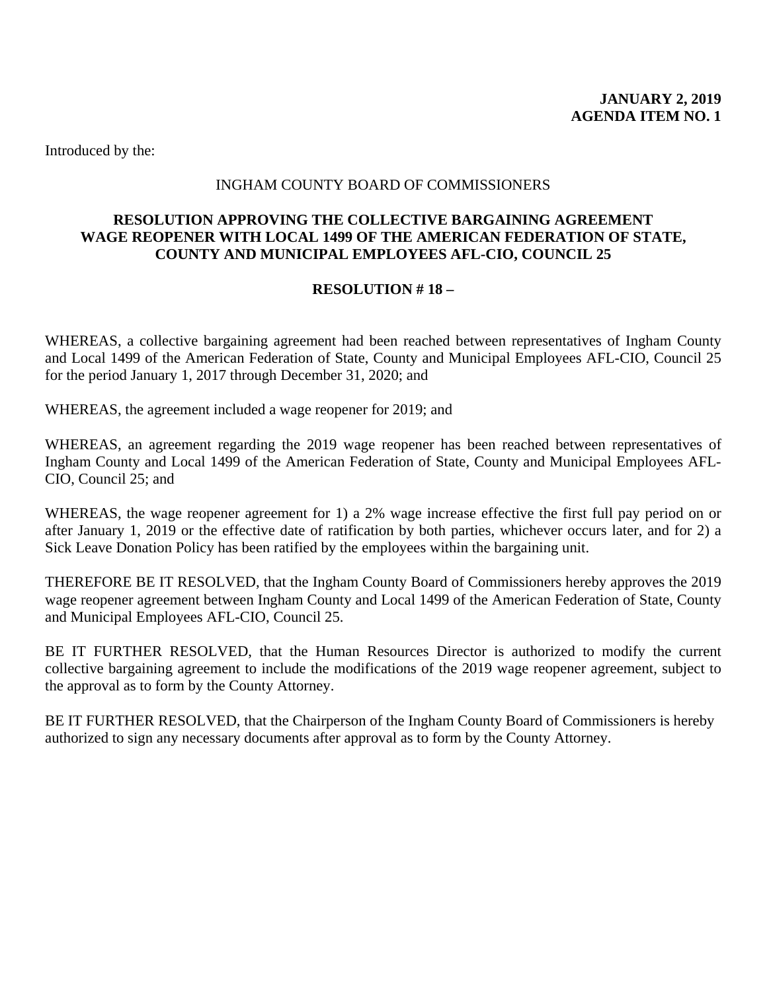#### INGHAM COUNTY BOARD OF COMMISSIONERS

# <span id="page-3-0"></span>**RESOLUTION APPROVING THE COLLECTIVE BARGAINING AGREEMENT WAGE REOPENER WITH LOCAL 1499 OF THE AMERICAN FEDERATION OF STATE, COUNTY AND MUNICIPAL EMPLOYEES AFL-CIO, COUNCIL 25**

# **RESOLUTION # 18 –**

WHEREAS, a collective bargaining agreement had been reached between representatives of Ingham County and Local 1499 of the American Federation of State, County and Municipal Employees AFL-CIO, Council 25 for the period January 1, 2017 through December 31, 2020; and

WHEREAS, the agreement included a wage reopener for 2019; and

WHEREAS, an agreement regarding the 2019 wage reopener has been reached between representatives of Ingham County and Local 1499 of the American Federation of State, County and Municipal Employees AFL-CIO, Council 25; and

WHEREAS, the wage reopener agreement for 1) a 2% wage increase effective the first full pay period on or after January 1, 2019 or the effective date of ratification by both parties, whichever occurs later, and for 2) a Sick Leave Donation Policy has been ratified by the employees within the bargaining unit.

THEREFORE BE IT RESOLVED, that the Ingham County Board of Commissioners hereby approves the 2019 wage reopener agreement between Ingham County and Local 1499 of the American Federation of State, County and Municipal Employees AFL-CIO, Council 25.

BE IT FURTHER RESOLVED, that the Human Resources Director is authorized to modify the current collective bargaining agreement to include the modifications of the 2019 wage reopener agreement, subject to the approval as to form by the County Attorney.

BE IT FURTHER RESOLVED, that the Chairperson of the Ingham County Board of Commissioners is hereby authorized to sign any necessary documents after approval as to form by the County Attorney.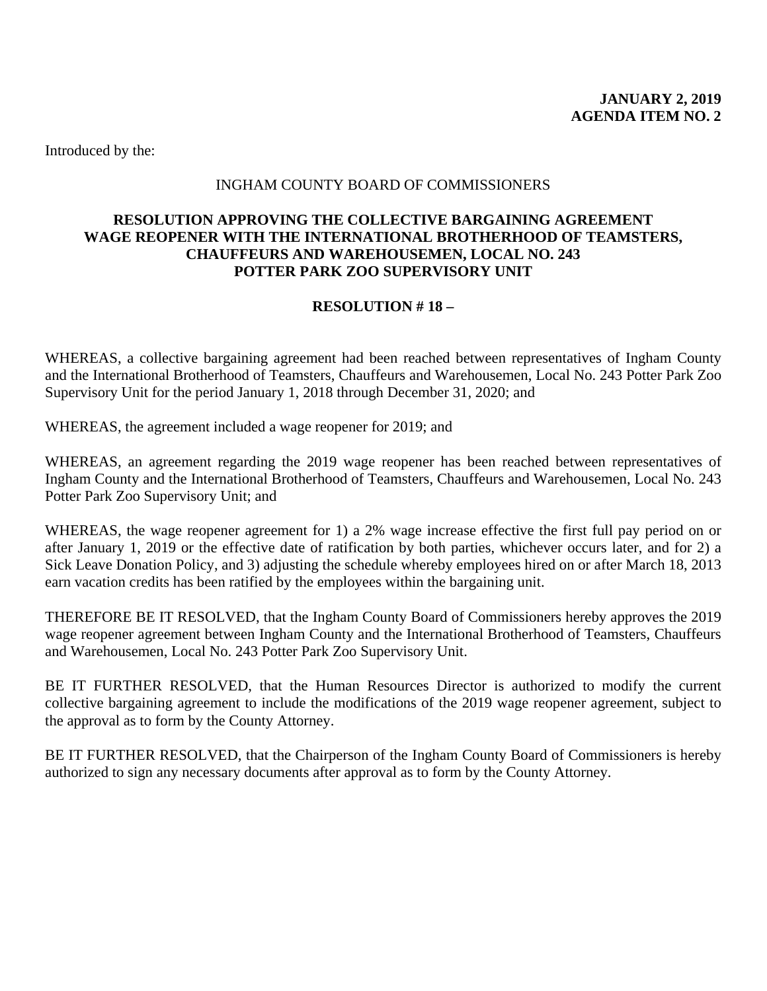# INGHAM COUNTY BOARD OF COMMISSIONERS

# <span id="page-4-0"></span>**RESOLUTION APPROVING THE COLLECTIVE BARGAINING AGREEMENT WAGE REOPENER WITH THE INTERNATIONAL BROTHERHOOD OF TEAMSTERS, CHAUFFEURS AND WAREHOUSEMEN, LOCAL NO. 243 POTTER PARK ZOO SUPERVISORY UNIT**

# **RESOLUTION # 18 –**

WHEREAS, a collective bargaining agreement had been reached between representatives of Ingham County and the International Brotherhood of Teamsters, Chauffeurs and Warehousemen, Local No. 243 Potter Park Zoo Supervisory Unit for the period January 1, 2018 through December 31, 2020; and

WHEREAS, the agreement included a wage reopener for 2019; and

WHEREAS, an agreement regarding the 2019 wage reopener has been reached between representatives of Ingham County and the International Brotherhood of Teamsters, Chauffeurs and Warehousemen, Local No. 243 Potter Park Zoo Supervisory Unit; and

WHEREAS, the wage reopener agreement for 1) a 2% wage increase effective the first full pay period on or after January 1, 2019 or the effective date of ratification by both parties, whichever occurs later, and for 2) a Sick Leave Donation Policy, and 3) adjusting the schedule whereby employees hired on or after March 18, 2013 earn vacation credits has been ratified by the employees within the bargaining unit.

THEREFORE BE IT RESOLVED, that the Ingham County Board of Commissioners hereby approves the 2019 wage reopener agreement between Ingham County and the International Brotherhood of Teamsters, Chauffeurs and Warehousemen, Local No. 243 Potter Park Zoo Supervisory Unit.

BE IT FURTHER RESOLVED, that the Human Resources Director is authorized to modify the current collective bargaining agreement to include the modifications of the 2019 wage reopener agreement, subject to the approval as to form by the County Attorney.

BE IT FURTHER RESOLVED, that the Chairperson of the Ingham County Board of Commissioners is hereby authorized to sign any necessary documents after approval as to form by the County Attorney.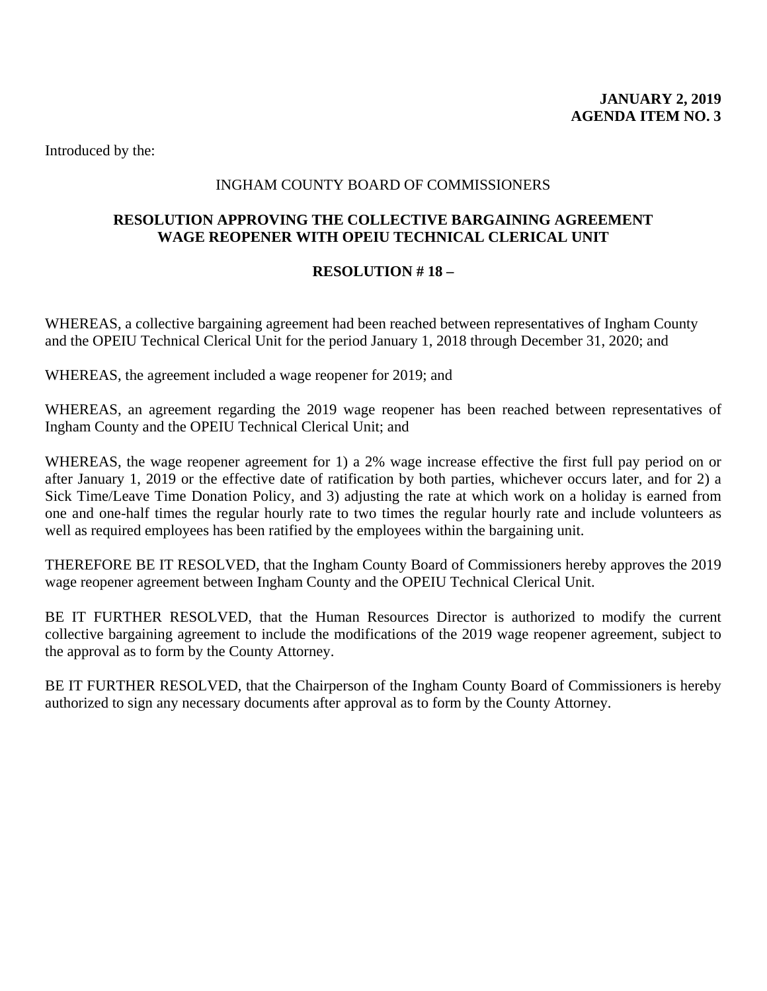# INGHAM COUNTY BOARD OF COMMISSIONERS

## <span id="page-5-0"></span>**RESOLUTION APPROVING THE COLLECTIVE BARGAINING AGREEMENT WAGE REOPENER WITH OPEIU TECHNICAL CLERICAL UNIT**

#### **RESOLUTION # 18 –**

WHEREAS, a collective bargaining agreement had been reached between representatives of Ingham County and the OPEIU Technical Clerical Unit for the period January 1, 2018 through December 31, 2020; and

WHEREAS, the agreement included a wage reopener for 2019; and

WHEREAS, an agreement regarding the 2019 wage reopener has been reached between representatives of Ingham County and the OPEIU Technical Clerical Unit; and

WHEREAS, the wage reopener agreement for 1) a 2% wage increase effective the first full pay period on or after January 1, 2019 or the effective date of ratification by both parties, whichever occurs later, and for 2) a Sick Time/Leave Time Donation Policy, and 3) adjusting the rate at which work on a holiday is earned from one and one-half times the regular hourly rate to two times the regular hourly rate and include volunteers as well as required employees has been ratified by the employees within the bargaining unit.

THEREFORE BE IT RESOLVED, that the Ingham County Board of Commissioners hereby approves the 2019 wage reopener agreement between Ingham County and the OPEIU Technical Clerical Unit.

BE IT FURTHER RESOLVED, that the Human Resources Director is authorized to modify the current collective bargaining agreement to include the modifications of the 2019 wage reopener agreement, subject to the approval as to form by the County Attorney.

BE IT FURTHER RESOLVED, that the Chairperson of the Ingham County Board of Commissioners is hereby authorized to sign any necessary documents after approval as to form by the County Attorney.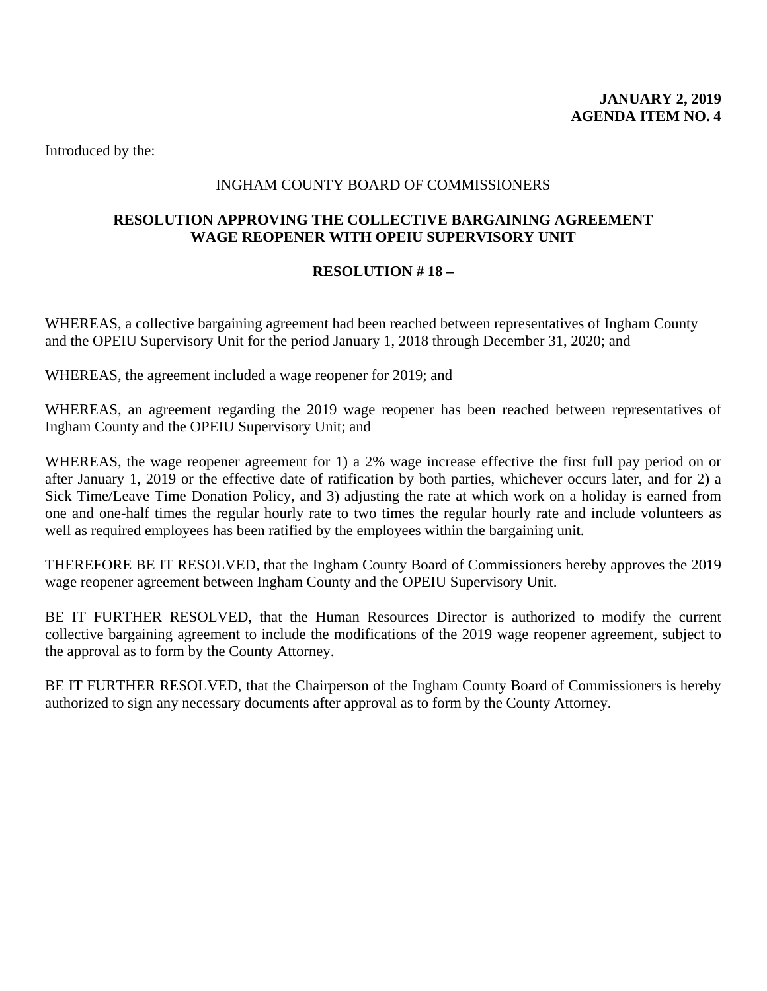# INGHAM COUNTY BOARD OF COMMISSIONERS

## <span id="page-6-0"></span>**RESOLUTION APPROVING THE COLLECTIVE BARGAINING AGREEMENT WAGE REOPENER WITH OPEIU SUPERVISORY UNIT**

#### **RESOLUTION # 18 –**

WHEREAS, a collective bargaining agreement had been reached between representatives of Ingham County and the OPEIU Supervisory Unit for the period January 1, 2018 through December 31, 2020; and

WHEREAS, the agreement included a wage reopener for 2019; and

WHEREAS, an agreement regarding the 2019 wage reopener has been reached between representatives of Ingham County and the OPEIU Supervisory Unit; and

WHEREAS, the wage reopener agreement for 1) a 2% wage increase effective the first full pay period on or after January 1, 2019 or the effective date of ratification by both parties, whichever occurs later, and for 2) a Sick Time/Leave Time Donation Policy, and 3) adjusting the rate at which work on a holiday is earned from one and one-half times the regular hourly rate to two times the regular hourly rate and include volunteers as well as required employees has been ratified by the employees within the bargaining unit.

THEREFORE BE IT RESOLVED, that the Ingham County Board of Commissioners hereby approves the 2019 wage reopener agreement between Ingham County and the OPEIU Supervisory Unit.

BE IT FURTHER RESOLVED, that the Human Resources Director is authorized to modify the current collective bargaining agreement to include the modifications of the 2019 wage reopener agreement, subject to the approval as to form by the County Attorney.

BE IT FURTHER RESOLVED, that the Chairperson of the Ingham County Board of Commissioners is hereby authorized to sign any necessary documents after approval as to form by the County Attorney.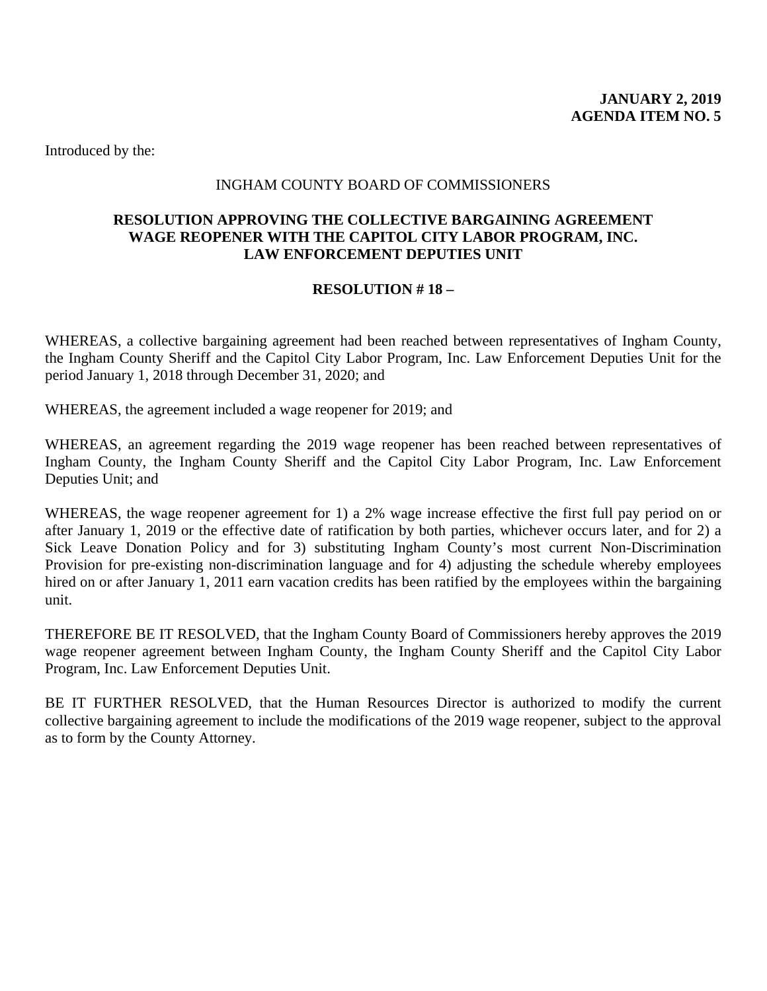#### INGHAM COUNTY BOARD OF COMMISSIONERS

#### <span id="page-7-0"></span>**RESOLUTION APPROVING THE COLLECTIVE BARGAINING AGREEMENT WAGE REOPENER WITH THE CAPITOL CITY LABOR PROGRAM, INC. LAW ENFORCEMENT DEPUTIES UNIT**

#### **RESOLUTION # 18 –**

WHEREAS, a collective bargaining agreement had been reached between representatives of Ingham County, the Ingham County Sheriff and the Capitol City Labor Program, Inc. Law Enforcement Deputies Unit for the period January 1, 2018 through December 31, 2020; and

WHEREAS, the agreement included a wage reopener for 2019; and

WHEREAS, an agreement regarding the 2019 wage reopener has been reached between representatives of Ingham County, the Ingham County Sheriff and the Capitol City Labor Program, Inc. Law Enforcement Deputies Unit; and

WHEREAS, the wage reopener agreement for 1) a 2% wage increase effective the first full pay period on or after January 1, 2019 or the effective date of ratification by both parties, whichever occurs later, and for 2) a Sick Leave Donation Policy and for 3) substituting Ingham County's most current Non-Discrimination Provision for pre-existing non-discrimination language and for 4) adjusting the schedule whereby employees hired on or after January 1, 2011 earn vacation credits has been ratified by the employees within the bargaining unit.

THEREFORE BE IT RESOLVED, that the Ingham County Board of Commissioners hereby approves the 2019 wage reopener agreement between Ingham County, the Ingham County Sheriff and the Capitol City Labor Program, Inc. Law Enforcement Deputies Unit.

BE IT FURTHER RESOLVED, that the Human Resources Director is authorized to modify the current collective bargaining agreement to include the modifications of the 2019 wage reopener, subject to the approval as to form by the County Attorney.